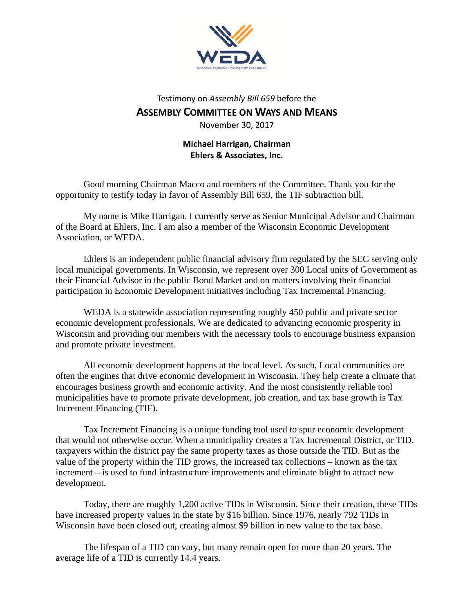

## Testimony on *Assembly Bill 659* before the **ASSEMBLY COMMITTEE ON WAYS AND MEANS** November 30, 2017

## **Michael Harrigan, Chairman Ehlers & Associates, Inc.**

Good morning Chairman Macco and members of the Committee. Thank you for the opportunity to testify today in favor of Assembly Bill 659, the TIF subtraction bill.

My name is Mike Harrigan. I currently serve as Senior Municipal Advisor and Chairman of the Board at Ehlers, Inc. I am also a member of the Wisconsin Economic Development Association, or WEDA.

Ehlers is an independent public financial advisory firm regulated by the SEC serving only local municipal governments. In Wisconsin, we represent over 300 Local units of Government as their Financial Advisor in the public Bond Market and on matters involving their financial participation in Economic Development initiatives including Tax Incremental Financing.

WEDA is a statewide association representing roughly 450 public and private sector economic development professionals. We are dedicated to advancing economic prosperity in Wisconsin and providing our members with the necessary tools to encourage business expansion and promote private investment.

All economic development happens at the local level. As such, Local communities are often the engines that drive economic development in Wisconsin. They help create a climate that encourages business growth and economic activity. And the most consistently reliable tool municipalities have to promote private development, job creation, and tax base growth is Tax Increment Financing (TIF).

Tax Increment Financing is a unique funding tool used to spur economic development that would not otherwise occur. When a municipality creates a Tax Incremental District, or TID, taxpayers within the district pay the same property taxes as those outside the TID. But as the value of the property within the TID grows, the increased tax collections – known as the tax increment – is used to fund infrastructure improvements and eliminate blight to attract new development.

Today, there are roughly 1,200 active TIDs in Wisconsin. Since their creation, these TIDs have increased property values in the state by \$16 billion. Since 1976, nearly 792 TIDs in Wisconsin have been closed out, creating almost \$9 billion in new value to the tax base.

The lifespan of a TID can vary, but many remain open for more than 20 years. The average life of a TID is currently 14.4 years.